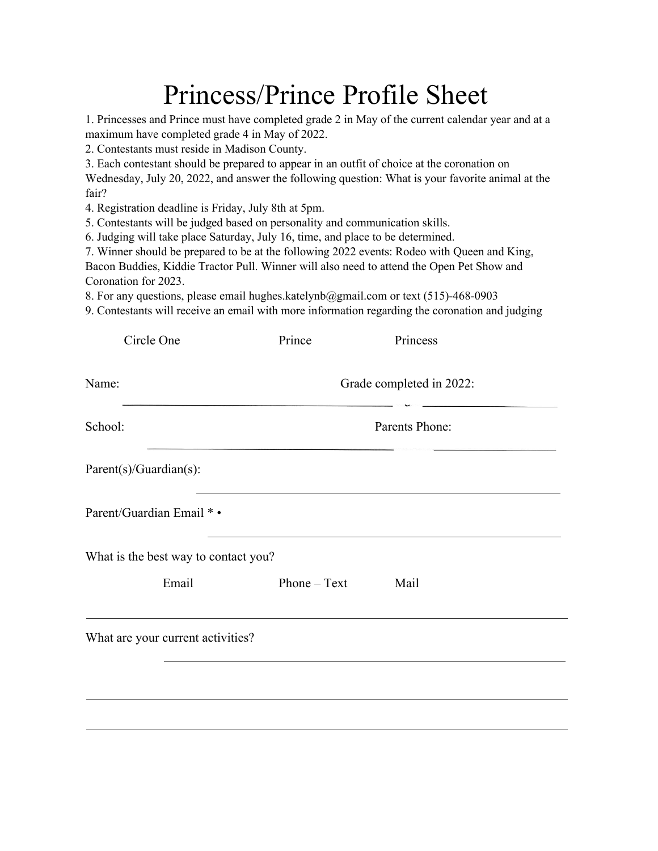## Princess/Prince Profile Sheet

1. Princesses and Prince must have completed grade 2 in May of the current calendar year and at a maximum have completed grade 4 in May of 2022.

2. Contestants must reside in Madison County.

3. Each contestant should be prepared to appear in an outfit of choice at the coronation on

Wednesday, July 20, 2022, and answer the following question: What is your favorite animal at the fair?

4. Registration deadline is Friday, July 8th at 5pm.

5. Contestants will be judged based on personality and communication skills.

6. Judging will take place Saturday, July 16, time, and place to be determined.

7. Winner should be prepared to be at the following 2022 events: Rodeo with Queen and King,

Bacon Buddies, Kiddie Tractor Pull. Winner will also need to attend the Open Pet Show and Coronation for 2023.

8. For any questions, please email hughes.katelynb@gmail.com or text (515)-468-0903

9. Contestants will receive an email with more information regarding the coronation and judging

| Circle One                           | Prince                   | Princess       |  |  |
|--------------------------------------|--------------------------|----------------|--|--|
| Name:                                | Grade completed in 2022: |                |  |  |
| School:                              |                          | Parents Phone: |  |  |
| Parent(s)/Guardian(s):               |                          |                |  |  |
| Parent/Guardian Email * •            |                          |                |  |  |
| What is the best way to contact you? |                          |                |  |  |
| Email                                | $Phone - Text$           | Mail           |  |  |
| What are your current activities?    |                          |                |  |  |
|                                      |                          |                |  |  |
|                                      |                          |                |  |  |